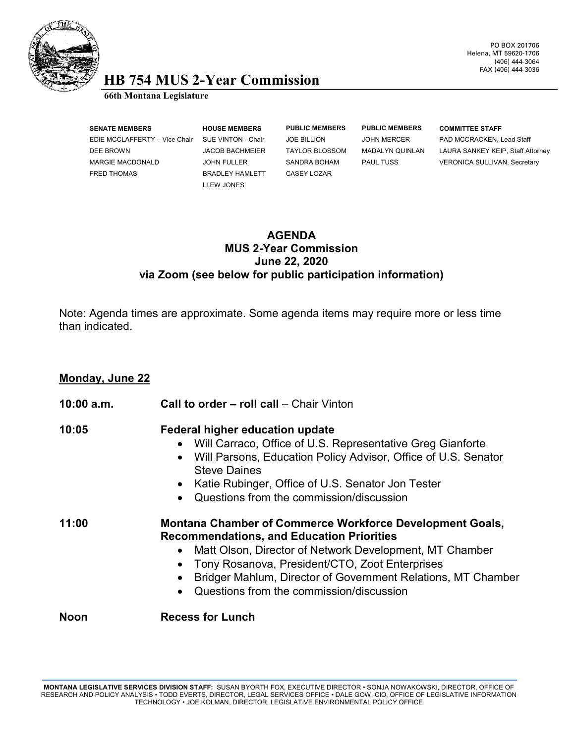

### PO BOX 201706 Helena, MT 59620-1706 (406) 444-3064 FAX (406) 444-3036

# **HB 754 MUS 2-Year Commission 66th Montana Legislature**

**SENATE MEMBERS HOUSE MEMBERS PUBLIC MEMBERS PUBLIC MEMBERS COMMITTEE STAFF** EDIE MCCLAFFERTY – Vice Chair SUE VINTON - Chair JOE BILLION JOHN MERCER PAD MCCRACKEN, Lead Staff MARGIE MACDONALD JOHN FULLER SANDRA BOHAM PAUL TUSS VERONICA SULLIVAN, Secretary FRED THOMAS BRADLEY HAMLETT CASEY LOZAR

LLEW JONES

DEE BROWN JACOB BACHMEIER TAYLOR BLOSSOM MADALYN QUINLAN LAURA SANKEY KEIP, Staff Attorney

## **AGENDA MUS 2-Year Commission June 22, 2020 via Zoom (see below for public participation information)**

Note: Agenda times are approximate. Some agenda items may require more or less time than indicated.

## **Monday, June 22**

| $10:00$ a.m. | <b>Call to order - roll call</b> - Chair Vinton                                                                                                                                                                                                                                                                                                                        |
|--------------|------------------------------------------------------------------------------------------------------------------------------------------------------------------------------------------------------------------------------------------------------------------------------------------------------------------------------------------------------------------------|
| 10:05        | Federal higher education update<br>• Will Carraco, Office of U.S. Representative Greg Gianforte<br>Will Parsons, Education Policy Advisor, Office of U.S. Senator<br>$\bullet$<br><b>Steve Daines</b><br>• Katie Rubinger, Office of U.S. Senator Jon Tester<br>Questions from the commission/discussion<br>$\bullet$                                                  |
| 11:00        | <b>Montana Chamber of Commerce Workforce Development Goals,</b><br><b>Recommendations, and Education Priorities</b><br>Matt Olson, Director of Network Development, MT Chamber<br>$\bullet$<br>Tony Rosanova, President/CTO, Zoot Enterprises<br>Bridger Mahlum, Director of Government Relations, MT Chamber<br>Questions from the commission/discussion<br>$\bullet$ |
| <b>Noon</b>  | <b>Recess for Lunch</b>                                                                                                                                                                                                                                                                                                                                                |